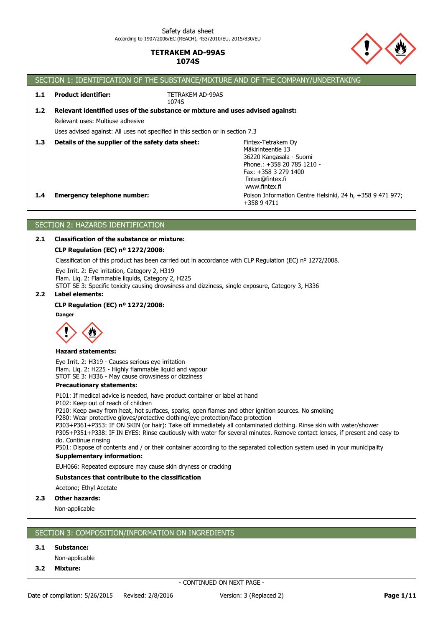

#### SECTION 1: IDENTIFICATION OF THE SUBSTANCE/MIXTURE AND OF THE COMPANY/UNDERTAKING Poison Information Centre Helsinki, 24 h, +358 9 471 977; +358 9 4711 **1.4 Emergency telephone number:** Fintex-Tetrakem Oy Mäkirinteentie 13 36220 Kangasala - Suomi Phone.: +358 20 785 1210 - Fax: +358 3 279 1400 fintex@fintex.fi www.fintex.fi **1.3 Details of the supplier of the safety data sheet:** Uses advised against: All uses not specified in this section or in section 7.3 Relevant uses: Multiuse adhesive **1.2 Relevant identified uses of the substance or mixture and uses advised against:** TETRAKEM AD-99AS 1074S **1.1 Product identifier:**

# SECTION 2: HAZARDS IDENTIFICATION

# **2.1 Classification of the substance or mixture:**

# **CLP Regulation (EC) nº 1272/2008:**

Classification of this product has been carried out in accordance with CLP Regulation (EC) nº 1272/2008.

Eye Irrit. 2: Eye irritation, Category 2, H319 Flam. Liq. 2: Flammable liquids, Category 2, H225

STOT SE 3: Specific toxicity causing drowsiness and dizziness, single exposure, Category 3, H336

## **2.2 Label elements:**

# **CLP Regulation (EC) nº 1272/2008:**

**Danger**



## **Hazard statements:**

Eye Irrit. 2: H319 - Causes serious eye irritation Flam. Liq. 2: H225 - Highly flammable liquid and vapour STOT SE 3: H336 - May cause drowsiness or dizziness

#### **Precautionary statements:**

P101: If medical advice is needed, have product container or label at hand

P102: Keep out of reach of children

P210: Keep away from heat, hot surfaces, sparks, open flames and other ignition sources. No smoking

P280: Wear protective gloves/protective clothing/eye protection/face protection

P303+P361+P353: IF ON SKIN (or hair): Take off immediately all contaminated clothing. Rinse skin with water/shower P305+P351+P338: IF IN EYES: Rinse cautiously with water for several minutes. Remove contact lenses, if present and easy to do. Continue rinsing

**Supplementary information:** P501: Dispose of contents and / or their container according to the separated collection system used in your municipality

EUH066: Repeated exposure may cause skin dryness or cracking

## **Substances that contribute to the classification**

Acetone; Ethyl Acetate

## **2.3 Other hazards:**

Non-applicable

# SECTION 3: COMPOSITION/INFORMATION ON INGREDIENTS

## **3.1 Substance:**

- Non-applicable
- **3.2 Mixture:**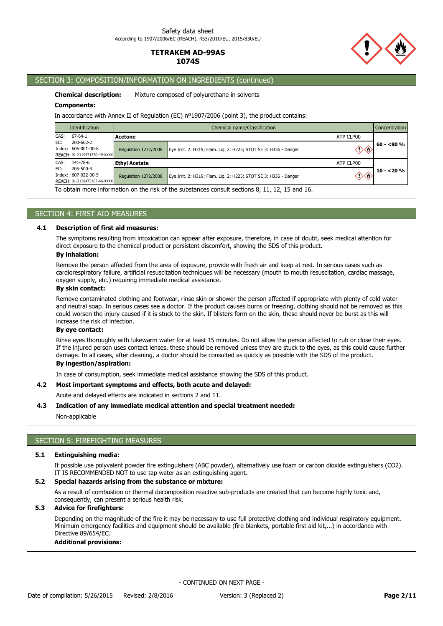

# SECTION 3: COMPOSITION/INFORMATION ON INGREDIENTS (continued)

**Chemical description:** Mixture composed of polyurethane in solvents

### **Components:**

In accordance with Annex II of Regulation (EC) nº1907/2006 (point 3), the product contains:

| <b>Identification</b>                                                                           | Chemical name/Classification                                     |                                                                                                |              | <b>Concentration</b> |
|-------------------------------------------------------------------------------------------------|------------------------------------------------------------------|------------------------------------------------------------------------------------------------|--------------|----------------------|
| CAS:<br>67-64-1                                                                                 | Acetone                                                          |                                                                                                | ATP CLP00    |                      |
| IEC:<br>200-662-2<br>Index: 606-001-00-8<br>REACH: 01-2119471330-49-XXXX                        | Regulation 1272/2008                                             | Eye Irrit. 2: H319; Flam. Liq. 2: H225; STOT SE 3: H336 - Danger                               |              | $60 - 80 \%$         |
| CAS:<br>141-78-6                                                                                | <b>Ethvl Acetate</b>                                             |                                                                                                | ATP CLP00    |                      |
| EC:<br>205-500-4<br>Index: 607-022-00-5<br>Regulation 1272/2008<br>REACH: 01-2119475103-46-XXXX | Eye Irrit. 2: H319; Flam. Lig. 2: H225; STOT SE 3: H336 - Danger |                                                                                                | $10 - 20 \%$ |                      |
|                                                                                                 |                                                                  | To obtain more information on the rick of the substances sensult sections 0, 11, 12, 15 and 16 |              |                      |

To obtain more information on the risk of the substances consult sections 8, 11, 12, 15 and 16.

## SECTION 4: FIRST AID MEASURES

#### **4.1 Description of first aid measures:**

The symptoms resulting from intoxication can appear after exposure, therefore, in case of doubt, seek medical attention for direct exposure to the chemical product or persistent discomfort, showing the SDS of this product.

# **By inhalation:**

Remove the person affected from the area of exposure, provide with fresh air and keep at rest. In serious cases such as cardiorespiratory failure, artificial resuscitation techniques will be necessary (mouth to mouth resuscitation, cardiac massage, oxygen supply, etc.) requiring immediate medical assistance.

# **By skin contact:**

Remove contaminated clothing and footwear, rinse skin or shower the person affected if appropriate with plenty of cold water and neutral soap. In serious cases see a doctor. If the product causes burns or freezing, clothing should not be removed as this could worsen the injury caused if it is stuck to the skin. If blisters form on the skin, these should never be burst as this will increase the risk of infection.

## **By eye contact:**

Rinse eyes thoroughly with lukewarm water for at least 15 minutes. Do not allow the person affected to rub or close their eyes. If the injured person uses contact lenses, these should be removed unless they are stuck to the eyes, as this could cause further damage. In all cases, after cleaning, a doctor should be consulted as quickly as possible with the SDS of the product.

# **By ingestion/aspiration:**

In case of consumption, seek immediate medical assistance showing the SDS of this product.

## **4.2 Most important symptoms and effects, both acute and delayed:**

Acute and delayed effects are indicated in sections 2 and 11.

#### **4.3 Indication of any immediate medical attention and special treatment needed:**

#### Non-applicable

## SECTION 5: FIREFIGHTING MEASURES

## **5.1 Extinguishing media:**

If possible use polyvalent powder fire extinguishers (ABC powder), alternatively use foam or carbon dioxide extinguishers (CO2). IT IS RECOMMENDED NOT to use tap water as an extinguishing agent.

## **5.2 Special hazards arising from the substance or mixture:**

As a result of combustion or thermal decomposition reactive sub-products are created that can become highly toxic and, consequently, can present a serious health risk.

# **5.3 Advice for firefighters:**

Depending on the magnitude of the fire it may be necessary to use full protective clothing and individual respiratory equipment. Minimum emergency facilities and equipment should be available (fire blankets, portable first aid kit,...) in accordance with Directive 89/654/EC.

## **Additional provisions:**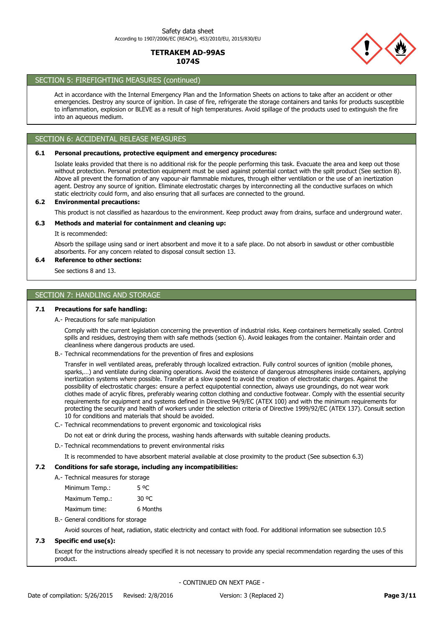

# SECTION 5: FIREFIGHTING MEASURES (continued)

Act in accordance with the Internal Emergency Plan and the Information Sheets on actions to take after an accident or other emergencies. Destroy any source of ignition. In case of fire, refrigerate the storage containers and tanks for products susceptible to inflammation, explosion or BLEVE as a result of high temperatures. Avoid spillage of the products used to extinguish the fire into an aqueous medium.

# SECTION 6: ACCIDENTAL RELEASE MEASURES

## **6.1 Personal precautions, protective equipment and emergency procedures:**

Isolate leaks provided that there is no additional risk for the people performing this task. Evacuate the area and keep out those without protection. Personal protection equipment must be used against potential contact with the spilt product (See section 8). Above all prevent the formation of any vapour-air flammable mixtures, through either ventilation or the use of an inertization agent. Destroy any source of ignition. Eliminate electrostatic charges by interconnecting all the conductive surfaces on which static electricity could form, and also ensuring that all surfaces are connected to the ground.

## **6.2 Environmental precautions:**

This product is not classified as hazardous to the environment. Keep product away from drains, surface and underground water.

## **6.3 Methods and material for containment and cleaning up:**

It is recommended:

Absorb the spillage using sand or inert absorbent and move it to a safe place. Do not absorb in sawdust or other combustible absorbents. For any concern related to disposal consult section 13.

## **6.4 Reference to other sections:**

See sections 8 and 13.

# SECTION 7: HANDLING AND STORAGE

## **7.1 Precautions for safe handling:**

A.- Precautions for safe manipulation

Comply with the current legislation concerning the prevention of industrial risks. Keep containers hermetically sealed. Control spills and residues, destroying them with safe methods (section 6). Avoid leakages from the container. Maintain order and cleanliness where dangerous products are used.

B.- Technical recommendations for the prevention of fires and explosions

Transfer in well ventilated areas, preferably through localized extraction. Fully control sources of ignition (mobile phones, sparks,...) and ventilate during cleaning operations. Avoid the existence of dangerous atmospheres inside containers, applying inertization systems where possible. Transfer at a slow speed to avoid the creation of electrostatic charges. Against the possibility of electrostatic charges: ensure a perfect equipotential connection, always use groundings, do not wear work clothes made of acrylic fibres, preferably wearing cotton clothing and conductive footwear. Comply with the essential security requirements for equipment and systems defined in Directive 94/9/EC (ATEX 100) and with the minimum requirements for protecting the security and health of workers under the selection criteria of Directive 1999/92/EC (ATEX 137). Consult section 10 for conditions and materials that should be avoided.

C.- Technical recommendations to prevent ergonomic and toxicological risks

Do not eat or drink during the process, washing hands afterwards with suitable cleaning products.

D.- Technical recommendations to prevent environmental risks

It is recommended to have absorbent material available at close proximity to the product (See subsection 6.3)

### **7.2 Conditions for safe storage, including any incompatibilities:**

A.- Technical measures for storage

| Minimum Temp.: | 5 <sup>o</sup> C |
|----------------|------------------|
| Maximum Temp.: | 30 OC            |
| Maximum time:  | 6 Months         |

B.- General conditions for storage

Avoid sources of heat, radiation, static electricity and contact with food. For additional information see subsection 10.5

## **7.3 Specific end use(s):**

Except for the instructions already specified it is not necessary to provide any special recommendation regarding the uses of this product.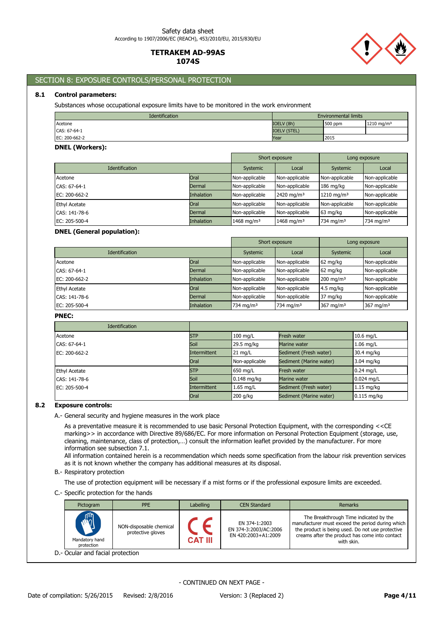# SECTION 8: EXPOSURE CONTROLS/PERSONAL PROTECTION

# **8.1 Control parameters:**

Substances whose occupational exposure limits have to be monitored in the work environment

| <b>Identification</b> |                     | <b>Environmental limits</b> |                       |
|-----------------------|---------------------|-----------------------------|-----------------------|
| Acetone               | IOELV (8h)          | 500 ppm                     | $1210 \text{ ma/m}^3$ |
| CAS: 67-64-1          | <b>IOELV (STEL)</b> |                             |                       |
| EC: 200-662-2         | Year                | 2015                        |                       |

## **DNEL (Workers):**

|                       |                   |                        | Short exposure<br>Long exposure |                        |                |
|-----------------------|-------------------|------------------------|---------------------------------|------------------------|----------------|
| <b>Identification</b> |                   | Systemic               | Local                           | Systemic               | Local          |
| Acetone               | Oral              | Non-applicable         | Non-applicable                  | Non-applicable         | Non-applicable |
| CAS: 67-64-1          | Dermal            | Non-applicable         | Non-applicable                  | $186 \text{ mg/kg}$    | Non-applicable |
| EC: 200-662-2         | <b>Inhalation</b> | Non-applicable         | 2420 mg/m <sup>3</sup>          | 1210 mg/m <sup>3</sup> | Non-applicable |
| <b>Ethyl Acetate</b>  | Oral              | Non-applicable         | Non-applicable                  | Non-applicable         | Non-applicable |
| CAS: 141-78-6         | Dermal            | Non-applicable         | Non-applicable                  | 63 mg/kg               | Non-applicable |
| EC: 205-500-4         | <b>Inhalation</b> | 1468 mg/m <sup>3</sup> | 1468 mg/m <sup>3</sup>          | 734 mg/m <sup>3</sup>  | 734 mg/m $3$   |

## **DNEL (General population):**

|                       |                   |                | Short exposure<br>Long exposure |              |                |
|-----------------------|-------------------|----------------|---------------------------------|--------------|----------------|
| <b>Identification</b> |                   | Systemic       | Local                           | Systemic     | Local          |
| Acetone               | Oral              | Non-applicable | Non-applicable                  | 62 mg/kg     | Non-applicable |
| CAS: 67-64-1          | Dermal            | Non-applicable | Non-applicable                  | 62 mg/kg     | Non-applicable |
| EC: 200-662-2         | <b>Inhalation</b> | Non-applicable | Non-applicable                  | 200 mg/m $3$ | Non-applicable |
| <b>Ethyl Acetate</b>  | Oral              | Non-applicable | Non-applicable                  | $4.5$ mg/kg  | Non-applicable |
| CAS: 141-78-6         | Dermal            | Non-applicable | Non-applicable                  | 37 mg/kg     | Non-applicable |
| EC: 205-500-4         | <b>Inhalation</b> | 734 mg/m $3$   | 734 mg/m $3$                    | 367 mg/m $3$ | 367 mg/m $3$   |

## **PNEC:**

| <b>Identification</b> |              |                   |                         |               |
|-----------------------|--------------|-------------------|-------------------------|---------------|
| Acetone               | <b>STP</b>   | $100$ mg/L        | <b>Fresh water</b>      | 10.6 mg/L     |
| CAS: 67-64-1          | Soil         | 29.5 mg/kg        | Marine water            | $1.06$ mg/L   |
| EC: 200-662-2         | Intermittent | $21 \text{ mg/L}$ | Sediment (Fresh water)  | 30.4 mg/kg    |
|                       | Oral         | Non-applicable    | Sediment (Marine water) | 3.04 mg/kg    |
| Ethyl Acetate         | <b>STP</b>   | 650 mg/L          | Fresh water             | $0.24$ mg/L   |
| CAS: 141-78-6         | Soil         | $0.148$ mg/kg     | Marine water            | $0.024$ mg/L  |
| EC: 205-500-4         | Intermittent | $1.65$ mg/L       | Sediment (Fresh water)  | $1.15$ mg/kg  |
|                       | Oral         | 200 g/kg          | Sediment (Marine water) | $0.115$ mg/kg |

## **8.2 Exposure controls:**

### A.- General security and hygiene measures in the work place

As a preventative measure it is recommended to use basic Personal Protection Equipment, with the corresponding <<CE marking>> in accordance with Directive 89/686/EC. For more information on Personal Protection Equipment (storage, use, cleaning, maintenance, class of protection,…) consult the information leaflet provided by the manufacturer. For more information see subsection 7.1.

All information contained herein is a recommendation which needs some specification from the labour risk prevention services as it is not known whether the company has additional measures at its disposal.

## B.- Respiratory protection

The use of protection equipment will be necessary if a mist forms or if the professional exposure limits are exceeded.

## C.- Specific protection for the hands

| Pictogram                                  | <b>PPE</b>                                   | Labelling      | <b>CEN Standard</b>                                           | <b>Remarks</b>                                                                                                                                                                                                 |
|--------------------------------------------|----------------------------------------------|----------------|---------------------------------------------------------------|----------------------------------------------------------------------------------------------------------------------------------------------------------------------------------------------------------------|
| $\sqrt{2}$<br>Mandatory hand<br>protection | NON-disposable chemical<br>protective gloves | <b>CAT III</b> | EN 374-1:2003<br>EN 374-3:2003/AC:2006<br>EN 420:2003+A1:2009 | The Breakthrough Time indicated by the<br>manufacturer must exceed the period during which<br>the product is being used. Do not use protective<br>creams after the product has come into contact<br>with skin. |
| D.- Ocular and facial protection           |                                              |                |                                                               |                                                                                                                                                                                                                |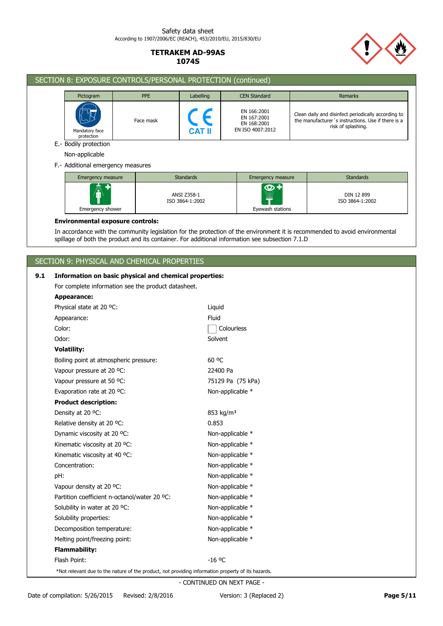

# SECTION 8: EXPOSURE CONTROLS/PERSONAL PROTECTION (continued) Pictogram PPE Remarks Remarks PPE Labelling CEN Standard PREMARKS EN 166:2001 Clean daily and disinfect periodically according to EN 167:2001 Face mask the manufacturer´s instructions. Use if there is a EN 168:2001 risk of splashing. EN ISO 4007:2012 **CAT II** Mandatory face protection E.- Bodily protection Non-applicable F.- Additional emergency measures Emergency measure **Emergency measure Standards** Emergency measure Standards  $\ddot{\mathbf{\Theta}}$ ANSI Z358-1 DIN 12 899 ISO 3864-1:2002 ISO 3864-1:2002 Emergency shower Eyewash stations **Environmental exposure controls:** In accordance with the community legislation for the protection of the environment it is recommended to avoid environmental spillage of both the product and its container. For additional information see subsection 7.1.D SECTION 9: PHYSICAL AND CHEMICAL PROPERTIES **9.1 Information on basic physical and chemical properties:** For complete information see the product datasheet. **Appearance:** Physical state at 20 °C: Liquid Appearance: Fluid Color: Colourless Odor: Solvent **Volatility:** Boiling point at atmospheric pressure: 60 °C Vapour pressure at 20 °C: 22400 Pa Vapour pressure at 50 °C: 75129 Pa (75 kPa)

| Color:                                                                                             | Colourless            |
|----------------------------------------------------------------------------------------------------|-----------------------|
| Odor:                                                                                              | Solvent               |
| <b>Volatility:</b>                                                                                 |                       |
| Boiling point at atmospheric pressure:                                                             | 60 °C                 |
| Vapour pressure at 20 °C:                                                                          | 22400 Pa              |
| Vapour pressure at 50 °C:                                                                          | 75129 Pa (75 kPa)     |
| Evaporation rate at 20 °C:                                                                         | Non-applicable *      |
| <b>Product description:</b>                                                                        |                       |
| Density at 20 °C:                                                                                  | 853 kg/m <sup>3</sup> |
| Relative density at 20 °C:                                                                         | 0.853                 |
| Dynamic viscosity at 20 °C:                                                                        | Non-applicable *      |
| Kinematic viscosity at 20 °C:                                                                      | Non-applicable *      |
| Kinematic viscosity at 40 °C:                                                                      | Non-applicable *      |
| Concentration:                                                                                     | Non-applicable *      |
| pH:                                                                                                | Non-applicable *      |
| Vapour density at 20 °C:                                                                           | Non-applicable *      |
| Partition coefficient n-octanol/water 20 °C:                                                       | Non-applicable *      |
| Solubility in water at 20 °C.                                                                      | Non-applicable *      |
| Solubility properties:                                                                             | Non-applicable *      |
| Decomposition temperature:                                                                         | Non-applicable *      |
| Melting point/freezing point:                                                                      | Non-applicable *      |
| <b>Flammability:</b>                                                                               |                       |
| Flash Point:                                                                                       | $-16$ °C              |
| *Not relevant due to the nature of the product, not providing information property of its hazards. |                       |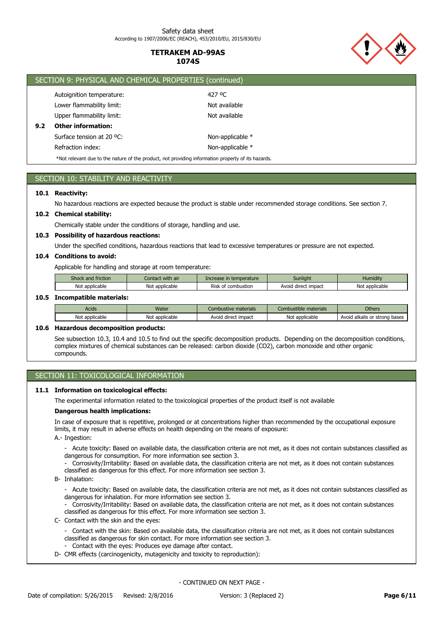

|     | SECTION 9: PHYSICAL AND CHEMICAL PROPERTIES (continued)                                            |                  |  |  |  |
|-----|----------------------------------------------------------------------------------------------------|------------------|--|--|--|
|     | Autoignition temperature:                                                                          | 427 °C           |  |  |  |
|     | Lower flammability limit:                                                                          | Not available    |  |  |  |
|     | Upper flammability limit:                                                                          | Not available    |  |  |  |
| 9.2 | <b>Other information:</b>                                                                          |                  |  |  |  |
|     | Surface tension at 20 °C:                                                                          | Non-applicable * |  |  |  |
|     | Refraction index:                                                                                  | Non-applicable * |  |  |  |
|     | *Not relevant due to the nature of the product, not providing information property of its hazards. |                  |  |  |  |

# SECTION 10: STABILITY AND REACTIVITY

## **10.1 Reactivity:**

No hazardous reactions are expected because the product is stable under recommended storage conditions. See section 7.

## **10.2 Chemical stability:**

Chemically stable under the conditions of storage, handling and use.

# **10.3 Possibility of hazardous reactions:**

Under the specified conditions, hazardous reactions that lead to excessive temperatures or pressure are not expected.

# **10.4 Conditions to avoid:**

Applicable for handling and storage at room temperature:

| Shock and friction | Contact with air | Increase in temperature | <b>Sunlight</b>     | <b>Humidity</b> |
|--------------------|------------------|-------------------------|---------------------|-----------------|
| Not applicable     | Not applicable   | Risk of combustion      | Avoid direct impact | Not applicable  |

## **10.5 Incompatible materials:**

| Acids          | Water          | Combustive materials     | Combustible materials | Others                        |
|----------------|----------------|--------------------------|-----------------------|-------------------------------|
| Not applicable | Not applicable | Avoid<br>I direct impact | Not applicable        | Avoid alkalis or strong bases |

#### **10.6 Hazardous decomposition products:**

See subsection 10.3, 10.4 and 10.5 to find out the specific decomposition products. Depending on the decomposition conditions, complex mixtures of chemical substances can be released: carbon dioxide (CO2), carbon monoxide and other organic compounds.

# SECTION 11: TOXICOLOGICAL INFORMATION

## **11.1 Information on toxicological effects:**

The experimental information related to the toxicological properties of the product itself is not available

#### **Dangerous health implications:**

In case of exposure that is repetitive, prolonged or at concentrations higher than recommended by the occupational exposure limits, it may result in adverse effects on health depending on the means of exposure:

A.- Ingestion:

- Acute toxicity: Based on available data, the classification criteria are not met, as it does not contain substances classified as dangerous for consumption. For more information see section 3.
- Corrosivity/Irritability: Based on available data, the classification criteria are not met, as it does not contain substances classified as dangerous for this effect. For more information see section 3.
- B- Inhalation:
	- Acute toxicity: Based on available data, the classification criteria are not met, as it does not contain substances classified as dangerous for inhalation. For more information see section 3.
	- Corrosivity/Irritability: Based on available data, the classification criteria are not met, as it does not contain substances classified as dangerous for this effect. For more information see section 3.
- C- Contact with the skin and the eyes:
	- Contact with the skin: Based on available data, the classification criteria are not met, as it does not contain substances classified as dangerous for skin contact. For more information see section 3.
	- Contact with the eyes: Produces eye damage after contact.
- D- CMR effects (carcinogenicity, mutagenicity and toxicity to reproduction):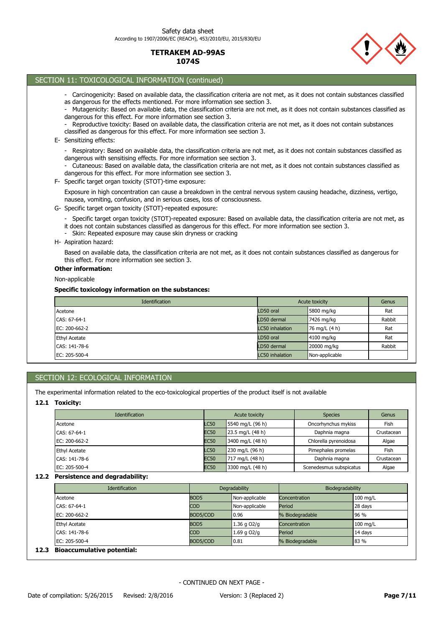

# SECTION 11: TOXICOLOGICAL INFORMATION (continued) Non-applicable **Other information:** Based on available data, the classification criteria are not met, as it does not contain substances classified as dangerous for this effect. For more information see section 3. H- Aspiration hazard: - Specific target organ toxicity (STOT)-repeated exposure: Based on available data, the classification criteria are not met, as it does not contain substances classified as dangerous for this effect. For more information see section 3. - Skin: Repeated exposure may cause skin dryness or cracking G- Specific target organ toxicity (STOT)-repeated exposure: Exposure in high concentration can cause a breakdown in the central nervous system causing headache, dizziness, vertigo, nausea, vomiting, confusion, and in serious cases, loss of consciousness. F- Specific target organ toxicity (STOT)-time exposure: - Respiratory: Based on available data, the classification criteria are not met, as it does not contain substances classified as dangerous with sensitising effects. For more information see section 3. - Cutaneous: Based on available data, the classification criteria are not met, as it does not contain substances classified as dangerous for this effect. For more information see section 3. E- Sensitizing effects: - Carcinogenicity: Based on available data, the classification criteria are not met, as it does not contain substances classified as dangerous for the effects mentioned. For more information see section 3. - Mutagenicity: Based on available data, the classification criteria are not met, as it does not contain substances classified as dangerous for this effect. For more information see section 3. Reproductive toxicity: Based on available data, the classification criteria are not met, as it does not contain substances classified as dangerous for this effect. For more information see section 3.

**Specific toxicology information on the substances:**

| Identification       | Acute toxicity         |                | Genus  |
|----------------------|------------------------|----------------|--------|
| Acetone              | LD50 oral              | 5800 mg/kg     | Rat    |
| CAS: 67-64-1         | LD50 dermal            | 7426 mg/kg     | Rabbit |
| EC: 200-662-2        | <b>LC50</b> inhalation | 76 mg/L (4 h)  | Rat    |
| <b>Ethyl Acetate</b> | LD50 oral              | 4100 mg/kg     | Rat    |
| CAS: 141-78-6        | LD50 dermal            | 20000 mg/kg    | Rabbit |
| EC: 205-500-4        | <b>LC50</b> inhalation | Non-applicable |        |

# SECTION 12: ECOLOGICAL INFORMATION

The experimental information related to the eco-toxicological properties of the product itself is not available

# **12.1 Toxicity:**

| <b>Identification</b> | Acute toxicity |                  | <b>Species</b>          | Genus      |
|-----------------------|----------------|------------------|-------------------------|------------|
| Acetone               | <b>LC50</b>    | 5540 mg/L (96 h) | Oncorhynchus mykiss     | Fish       |
| CAS: 67-64-1          | <b>EC50</b>    | 23.5 mg/L (48 h) | Daphnia magna           | Crustacean |
| EC: 200-662-2         | <b>EC50</b>    | 3400 mg/L (48 h) | Chlorella pyrenoidosa   | Algae      |
| <b>Ethyl Acetate</b>  | <b>LC50</b>    | 230 mg/L (96 h)  | Pimephales promelas     | Fish       |
| CAS: 141-78-6         | <b>EC50</b>    | 717 mg/L (48 h)  | Daphnia magna           | Crustacean |
| EC: 205-500-4         | <b>EC50</b>    | 3300 mg/L (48 h) | Scenedesmus subspicatus | Algae      |

# **12.2 Persistence and degradability:**

|                  |                 | Biodegradability |          |
|------------------|-----------------|------------------|----------|
| BOD <sub>5</sub> | Non-applicable  | Concentration    | 100 mg/L |
| <b>COD</b>       | Non-applicable  | Period           | 28 days  |
| BOD5/COD         | 10.96           | % Biodegradable  | 96 %     |
| BOD <sub>5</sub> | 1.36 g $O2/g$   | Concentration    | 100 mg/L |
| <b>COD</b>       | $1.69$ q $O2/q$ | Period           | 14 days  |
| BOD5/COD         | 0.81            | % Biodegradable  | 83 %     |
|                  |                 | Degradability    |          |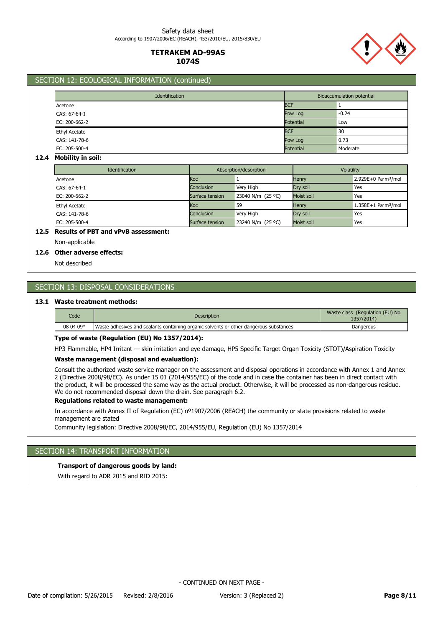**1074S**

**TETRAKEM AD-99AS**



## SECTION 12: ECOLOGICAL INFORMATION (continued)

| Identification       |                  | <b>Bioaccumulation potential</b> |  |  |
|----------------------|------------------|----------------------------------|--|--|
| Acetone              | <b>BCF</b>       |                                  |  |  |
| CAS: 67-64-1         | Pow Log          | $-0.24$                          |  |  |
| EC: 200-662-2        | <b>Potential</b> | Low                              |  |  |
| <b>Ethyl Acetate</b> | <b>BCF</b>       | 130                              |  |  |
| CAS: 141-78-6        | Pow Log          | 0.73                             |  |  |
| EC: 205-500-4        | Potential        | Moderate                         |  |  |

#### **12.4 Mobility in soil:**

| <b>Identification</b> | Absorption/desorption |                   | Volatility   |                                 |
|-----------------------|-----------------------|-------------------|--------------|---------------------------------|
| Acetone               | Koc                   |                   | <b>Henry</b> | 2.929E+0 Pa·m <sup>3</sup> /mol |
| CAS: 67-64-1          | Conclusion            | Very High         | Dry soil     | Yes                             |
| EC: 200-662-2         | Surface tension       | 23040 N/m (25 °C) | Moist soil   | Yes                             |
| <b>Ethyl Acetate</b>  | Koc                   | 59                | <b>Henry</b> | 1.358E+1 Pa·m <sup>3</sup> /mol |
| CAS: 141-78-6         | <b>Conclusion</b>     | Very High         | Dry soil     | Yes                             |
| EC: 205-500-4         | Surface tension       | 23240 N/m (25 °C) | Moist soil   | Yes                             |

# **12.5 Results of PBT and vPvB assessment:**

Non-applicable

## **12.6 Other adverse effects:**

Not described

# SECTION 13: DISPOSAL CONSIDERATIONS

## **13.1 Waste treatment methods:**

| Code      | <b>Description</b>                                                                     | Waste class (Regulation (EU) No<br>1357/2014) |
|-----------|----------------------------------------------------------------------------------------|-----------------------------------------------|
| 08 04 09* | Waste adhesives and sealants containing organic solvents or other dangerous substances | Dangerous                                     |

## **Type of waste (Regulation (EU) No 1357/2014):**

HP3 Flammable, HP4 Irritant — skin irritation and eye damage, HP5 Specific Target Organ Toxicity (STOT)/Aspiration Toxicity

### **Waste management (disposal and evaluation):**

Consult the authorized waste service manager on the assessment and disposal operations in accordance with Annex 1 and Annex 2 (Directive 2008/98/EC). As under 15 01 (2014/955/EC) of the code and in case the container has been in direct contact with the product, it will be processed the same way as the actual product. Otherwise, it will be processed as non-dangerous residue. We do not recommended disposal down the drain. See paragraph 6.2.

#### **Regulations related to waste management:**

In accordance with Annex II of Regulation (EC) nº1907/2006 (REACH) the community or state provisions related to waste management are stated

Community legislation: Directive 2008/98/EC, 2014/955/EU, Regulation (EU) No 1357/2014

# SECTION 14: TRANSPORT INFORMATION

## **Transport of dangerous goods by land:**

With regard to ADR 2015 and RID 2015: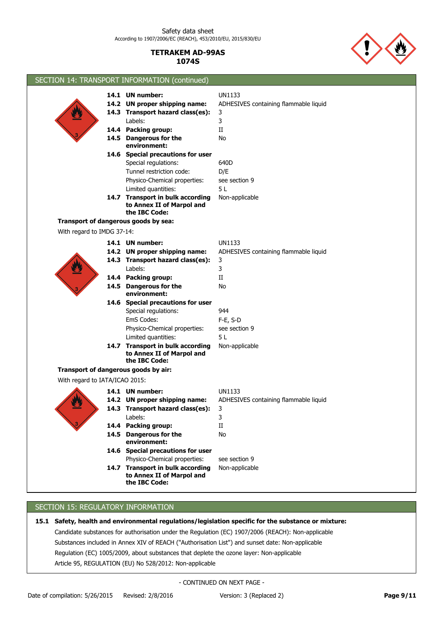

SECTION 14: TRANSPORT INFORMATION (continued) 14.7 Transport in bulk according Non-applicable **to Annex II of Marpol and the IBC Code:** 14.6 Special precautions for user **14.5 Dangerous for the Mo environment:** Tunnel restriction code: D/E **14.4 Packing group: 14.3 Transport hazard class(es): 14.2 UN proper shipping name: 14.1 UN number:** Labels: Special regulations: Physico-Chemical properties: UN1133 3 II 3 ADHESIVES containing flammable liquid 640D see section 9 Limited quantities: 5 L With regard to IMDG 37-14: **Transport of dangerous goods by sea: 14.7 Transport in bulk according** Non-applicable **to Annex II of Marpol and the IBC Code:** 14.6 Special precautions for user **14.5 Dangerous for the Mo environment:** EmS Codes: F-E, S-D **14.4 Packing group: 14.3 Transport hazard class(es): 14.2 UN proper shipping name: 14.1 UN number:** Labels: Special regulations: Physico-Chemical properties: UN1133 3 II 3 ADHESIVES containing flammable liquid 944 see section 9 Limited quantities: 5 L With regard to IATA/ICAO 2015: **Transport of dangerous goods by air: 14.6 Special precautions for user 14.4 Packing group:** II **14.3 Transport hazard class(es):** 3 14.2 UN proper shipping name: **14.1 UN number:** UN1133 Physico-Chemical properties: see section 9 Labels: 3 **UN proper shipping name:** ADHESIVES containing flammable liquid **14.5 Dangerous for the Mo environment:** 14.7 Transport in bulk according Non-applicable **to Annex II of Marpol and the IBC Code:**

# SECTION 15: REGULATORY INFORMATION

**15.1 Safety, health and environmental regulations/legislation specific for the substance or mixture:** Article 95, REGULATION (EU) No 528/2012: Non-applicable Regulation (EC) 1005/2009, about substances that deplete the ozone layer: Non-applicable Substances included in Annex XIV of REACH ("Authorisation List") and sunset date: Non-applicable Candidate substances for authorisation under the Regulation (EC) 1907/2006 (REACH): Non-applicable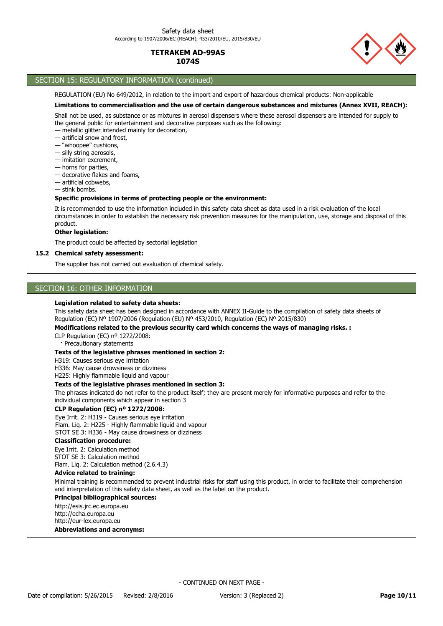

# SECTION 15: REGULATORY INFORMATION (continued)

REGULATION (EU) No 649/2012, in relation to the import and export of hazardous chemical products: Non-applicable

# **Limitations to commercialisation and the use of certain dangerous substances and mixtures (Annex XVII, REACH):**

Shall not be used, as substance or as mixtures in aerosol dispensers where these aerosol dispensers are intended for supply to the general public for entertainment and decorative purposes such as the following:

— metallic glitter intended mainly for decoration,

— artificial snow and frost,

- "whoopee" cushions,
- silly string aerosols,
- imitation excrement,
- horns for parties,
- decorative flakes and foams,
- artificial cobwebs,
- stink bombs.

## **Specific provisions in terms of protecting people or the environment:**

It is recommended to use the information included in this safety data sheet as data used in a risk evaluation of the local circumstances in order to establish the necessary risk prevention measures for the manipulation, use, storage and disposal of this product.

## **Other legislation:**

The product could be affected by sectorial legislation

#### **15.2 Chemical safety assessment:**

The supplier has not carried out evaluation of chemical safety.

# SECTION 16: OTHER INFORMATION

#### **Legislation related to safety data sheets:**

This safety data sheet has been designed in accordance with ANNEX II-Guide to the compilation of safety data sheets of Regulation (EC) Nº 1907/2006 (Regulation (EU) Nº 453/2010, Regulation (EC) Nº 2015/830)

#### **Modifications related to the previous security card which concerns the ways of managing risks. :**

CLP Regulation (EC) nº 1272/2008:

· Precautionary statements

#### **Texts of the legislative phrases mentioned in section 2:**

H319: Causes serious eye irritation

H336: May cause drowsiness or dizziness

H225: Highly flammable liquid and vapour

#### **Texts of the legislative phrases mentioned in section 3:**

The phrases indicated do not refer to the product itself; they are present merely for informative purposes and refer to the individual components which appear in section 3

#### **CLP Regulation (EC) nº 1272/2008:**

Eye Irrit. 2: H319 - Causes serious eye irritation Flam. Liq. 2: H225 - Highly flammable liquid and vapour STOT SE 3: H336 - May cause drowsiness or dizziness

#### **Classification procedure:**

Eye Irrit. 2: Calculation method STOT SE 3: Calculation method Flam. Liq. 2: Calculation method (2.6.4.3)

#### **Advice related to training:**

Minimal training is recommended to prevent industrial risks for staff using this product, in order to facilitate their comprehension and interpretation of this safety data sheet, as well as the label on the product.

### **Principal bibliographical sources:**

http://esis.jrc.ec.europa.eu http://echa.europa.eu http://eur-lex.europa.eu

**Abbreviations and acronyms:**